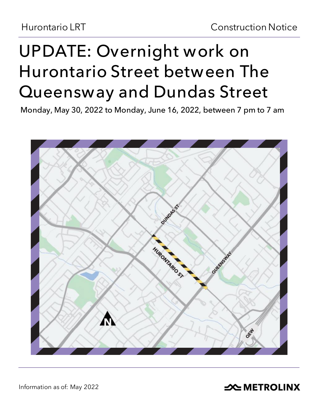# **UPDATE: Overnight work on Hurontario Street between The Queensway and Dundas Street**

**Monday, May 30, 2022 to Monday, June 16, 2022, between 7 pm to 7 am**



Information as of: May 2022